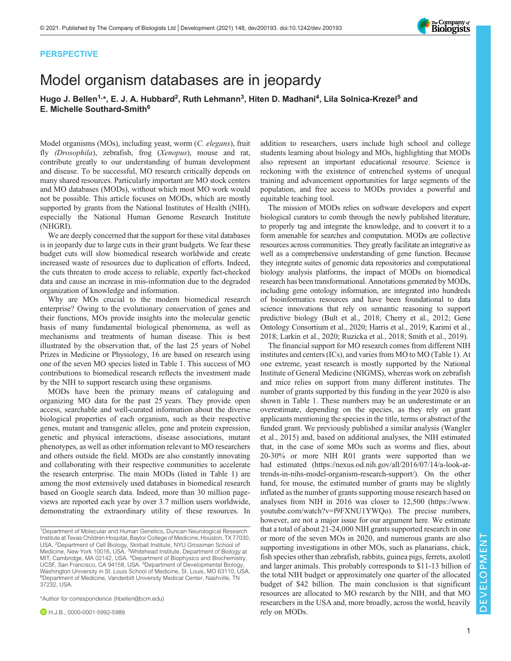## PERSPECTIVE

## Model organism databases are in jeopardy

Hugo J. Bellen<sup>1,</sup>\*, E. J. A. Hubbard<sup>2</sup>, Ruth Lehmann<sup>3</sup>, Hiten D. Madhani<sup>4</sup>, Lila Solnica-Krezel<sup>5</sup> and E. Michelle Southard-Smith<sup>6</sup>

Model organisms (MOs), including yeast, worm (C. elegans), fruit fly (Drosophila), zebrafish, frog (Xenopus), mouse and rat, contribute greatly to our understanding of human development and disease. To be successful, MO research critically depends on many shared resources. Particularly important are MO stock centers and MO databases (MODs), without which most MO work would not be possible. This article focuses on MODs, which are mostly supported by grants from the National Institutes of Health (NIH), especially the National Human Genome Research Institute (NHGRI).

We are deeply concerned that the support for these vital databases is in jeopardy due to large cuts in their grant budgets. We fear these budget cuts will slow biomedical research worldwide and create increased waste of resources due to duplication of efforts. Indeed, the cuts threaten to erode access to reliable, expertly fact-checked data and cause an increase in mis-information due to the degraded organization of knowledge and information.

Why are MOs crucial to the modern biomedical research enterprise? Owing to the evolutionary conservation of genes and their functions, MOs provide insights into the molecular genetic basis of many fundamental biological phenomena, as well as mechanisms and treatments of human disease. This is best illustrated by the observation that, of the last 25 years of Nobel Prizes in Medicine or Physiology, 16 are based on research using one of the seven MO species listed in [Table 1.](#page-1-0) This success of MO contributions to biomedical research reflects the investment made by the NIH to support research using these organisms.

MODs have been the primary means of cataloguing and organizing MO data for the past 25 years. They provide open access, searchable and well-curated information about the diverse biological properties of each organism, such as their respective genes, mutant and transgenic alleles, gene and protein expression, genetic and physical interactions, disease associations, mutant phenotypes, as well as other information relevant to MO researchers and others outside the field. MODs are also constantly innovating and collaborating with their respective communities to accelerate the research enterprise. The main MODs (listed in [Table 1\)](#page-1-0) are among the most extensively used databases in biomedical research based on Google search data. Indeed, more than 30 million pageviews are reported each year by over 3.7 million users worldwide, demonstrating the extraordinary utility of these resources. In

\*Author for correspondence [\(hbellen@bcm.edu\)](mailto:hbellen@bcm.edu)

**D** H.J.B., [0000-0001-5992-5989](http://orcid.org/0000-0001-5992-5989)

addition to researchers, users include high school and college students learning about biology and MOs, highlighting that MODs also represent an important educational resource. Science is reckoning with the existence of entrenched systems of unequal training and advancement opportunities for large segments of the population, and free access to MODs provides a powerful and equitable teaching tool.

The mission of MODs relies on software developers and expert biological curators to comb through the newly published literature, to properly tag and integrate the knowledge, and to convert it to a form amenable for searches and computation. MODs are collective resources across communities. They greatly facilitate an integrative as well as a comprehensive understanding of gene function. Because they integrate suites of genomic data repositories and computational biology analysis platforms, the impact of MODs on biomedical research has been transformational. Annotations generated by MODs, including gene ontology information, are integrated into hundreds of bioinformatics resources and have been foundational to data science innovations that rely on semantic reasoning to support predictive biology ([Bult et al., 2018; Cherry et al., 2012](#page-2-0); [Gene](#page-2-0) [Ontology Consortium et al., 2020](#page-2-0); [Harris et al., 2019; Karimi et al.,](#page-2-0) [2018; Larkin et al., 2020; Ruzicka et al., 2018](#page-2-0); [Smith et al., 2019\)](#page-2-0).

The financial support for MO research comes from different NIH institutes and centers (ICs), and varies from MO to MO ([Table 1](#page-1-0)). At one extreme, yeast research is mostly supported by the National Institute of General Medicine (NIGMS), whereas work on zebrafish and mice relies on support from many different institutes. The number of grants supported by this funding in the year 2020 is also shown in [Table 1](#page-1-0). These numbers may be an underestimate or an overestimate, depending on the species, as they rely on grant applicants mentioning the species in the title, terms or abstract of the funded grant. We previously published a similar analysis [\(Wangler](#page-2-0) [et al., 2015](#page-2-0)) and, based on additional analyses, the NIH estimated that, in the case of some MOs such as worms and flies, about 20-30% or more NIH R01 grants were supported than we had estimated [\(https://nexus.od.nih.gov/all/2016/07/14/a-look-at](https://nexus.od.nih.gov/all/2016/07/14/a-look-at-trends-in-nihs-model-organism-research-support/)[trends-in-nihs-model-organism-research-support/\)](https://nexus.od.nih.gov/all/2016/07/14/a-look-at-trends-in-nihs-model-organism-research-support/). On the other hand, for mouse, the estimated number of grants may be slightly inflated as the number of grants supporting mouse research based on analyses from NIH in 2016 was closer to 12,500 [\(https://www.](https://www.youtube.com/watch?v=f9FXNU1YWQo) [youtube.com/watch?v=f9FXNU1YWQo\)](https://www.youtube.com/watch?v=f9FXNU1YWQo). The precise numbers, however, are not a major issue for our argument here. We estimate that a total of about 21-24,000 NIH grants supported research in one or more of the seven MOs in 2020, and numerous grants are also supporting investigations in other MOs, such as planarians, chick, fish species other than zebrafish, rabbits, guinea pigs, ferrets, axolotl and larger animals. This probably corresponds to \$11-13 billion of the total NIH budget or approximately one quarter of the allocated budget of \$42 billion. The main conclusion is that significant resources are allocated to MO research by the NIH, and that MO researchers in the USA and, more broadly, across the world, heavily rely on MODs.



<sup>1</sup>Department of Molecular and Human Genetics, Duncan Neurological Research Institute at Texas Children Hospital, Baylor College of Medicine, Houston, TX 77030, USA. <sup>2</sup>Department of Cell Biology, Skirball Institute, NYU Grossman School of<br>Medicine, New York 10016, USA. <sup>3</sup>Whitehead Institute, Department of Biology at MIT, Cambridge, MA 02142, USA. <sup>4</sup>Department of Biophysics and Biochemistry, UCSF, San Francisco, CA 94158, USA. <sup>5</sup>Department of Developmental Biology,<br>Washington University in St. Louis School of Medicine, St. Louis, MO 63110, USA. <sup>6</sup>Department of Medicine, Vanderbilt University Medical Center, Nashville, TN 37232, USA.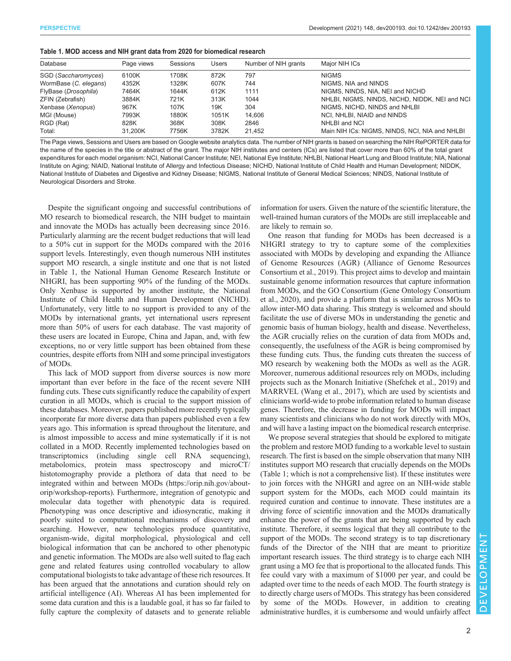<span id="page-1-0"></span>

| Table 1. MOD access and NIH grant data from 2020 for biomedical research |  |
|--------------------------------------------------------------------------|--|
|--------------------------------------------------------------------------|--|

| Database              | Page views | Sessions | <b>Users</b> | Number of NIH grants | Major NIH ICs                                  |
|-----------------------|------------|----------|--------------|----------------------|------------------------------------------------|
| SGD (Saccharomyces)   | 6100K      | 1708K    | 872K         | 797                  | <b>NIGMS</b>                                   |
| WormBase (C. elegans) | 4352K      | 1328K    | 607K         | 744                  | NIGMS, NIA and NINDS                           |
| FlyBase (Drosophila)  | 7464K      | 1644K    | 612K         | 1111                 | NIGMS, NINDS, NIA, NEI and NICHD               |
| ZFIN (Zebrafish)      | 3884K      | 721K     | 313K         | 1044                 | NHLBI, NIGMS, NINDS, NICHD, NIDDK, NEI and NCI |
| Xenbase (Xenopus)     | 967K       | 107K     | 19K          | 304                  | NIGMS, NICHD, NINDS and NHLBI                  |
| MGI (Mouse)           | 7993K      | 1880K    | 1051K        | 14.606               | NCI. NHLBI. NIAID and NINDS                    |
| RGD (Rat)             | 828K       | 368K     | 308K         | 2846                 | NHLBI and NCI                                  |
| Total:                | 31.200K    | 7756K    | 3782K        | 21.452               | Main NIH ICs: NIGMS, NINDS, NCI, NIA and NHLBI |

The Page views, Sessions and Users are based on Google website analytics data. The number of NIH grants is based on searching the NIH RePORTER data for the name of the species in the title or abstract of the grant. The major NIH institutes and centers (ICs) are listed that cover more than 60% of the total grant expenditures for each model organism: NCI, National Cancer Institute; NEI, National Eye Institute; NHLBI, National Heart Lung and Blood Institute; NIA, National Institute on Aging; NIAID, National Institute of Allergy and Infectious Disease; NICHD, National Institute of Child Health and Human Development; NIDDK, National Institute of Diabetes and Digestive and Kidney Disease; NIGMS, National Institute of General Medical Sciences; NINDS, National Institute of Neurological Disorders and Stroke.

Despite the significant ongoing and successful contributions of MO research to biomedical research, the NIH budget to maintain and innovate the MODs has actually been decreasing since 2016. Particularly alarming are the recent budget reductions that will lead to a 50% cut in support for the MODs compared with the 2016 support levels. Interestingly, even though numerous NIH institutes support MO research, a single institute and one that is not listed in Table 1, the National Human Genome Research Institute or NHGRI, has been supporting 90% of the funding of the MODs. Only Xenbase is supported by another institute, the National Institute of Child Health and Human Development (NICHD). Unfortunately, very little to no support is provided to any of the MODs by international grants, yet international users represent more than 50% of users for each database. The vast majority of these users are located in Europe, China and Japan, and, with few exceptions, no or very little support has been obtained from these countries, despite efforts from NIH and some principal investigators of MODs.

This lack of MOD support from diverse sources is now more important than ever before in the face of the recent severe NIH funding cuts. These cuts significantly reduce the capability of expert curation in all MODs, which is crucial to the support mission of these databases. Moreover, papers published more recently typically incorporate far more diverse data than papers published even a few years ago. This information is spread throughout the literature, and is almost impossible to access and mine systematically if it is not collated in a MOD. Recently implemented technologies based on transcriptomics (including single cell RNA sequencing), metabolomics, protein mass spectroscopy and microCT/ histotomography provide a plethora of data that need to be integrated within and between MODs [\(https://orip.nih.gov/about](https://orip.nih.gov/about-orip/workshop-reports)[orip/workshop-reports](https://orip.nih.gov/about-orip/workshop-reports)). Furthermore, integration of genotypic and molecular data together with phenotypic data is required. Phenotyping was once descriptive and idiosyncratic, making it poorly suited to computational mechanisms of discovery and searching. However, new technologies produce quantitative, organism-wide, digital morphological, physiological and cell biological information that can be anchored to other phenotypic and genetic information. The MODs are also well suited to flag each gene and related features using controlled vocabulary to allow computational biologists to take advantage of these rich resources. It has been argued that the annotations and curation should rely on artificial intelligence (AI). Whereas AI has been implemented for some data curation and this is a laudable goal, it has so far failed to fully capture the complexity of datasets and to generate reliable

information for users. Given the nature of the scientific literature, the well-trained human curators of the MODs are still irreplaceable and are likely to remain so.

One reason that funding for MODs has been decreased is a NHGRI strategy to try to capture some of the complexities associated with MODs by developing and expanding the Alliance of Genome Resources (AGR) [\(Alliance of Genome Resources](#page-2-0) [Consortium et al., 2019\)](#page-2-0). This project aims to develop and maintain sustainable genome information resources that capture information from MODs, and the GO Consortium [\(Gene Ontology Consortium](#page-2-0) [et al., 2020](#page-2-0)), and provide a platform that is similar across MOs to allow inter-MO data sharing. This strategy is welcomed and should facilitate the use of diverse MOs in understanding the genetic and genomic basis of human biology, health and disease. Nevertheless, the AGR crucially relies on the curation of data from MODs and, consequently, the usefulness of the AGR is being compromised by these funding cuts. Thus, the funding cuts threaten the success of MO research by weakening both the MODs as well as the AGR. Moreover, numerous additional resources rely on MODs, including projects such as the Monarch Initiative [\(Shefchek et al., 2019\)](#page-2-0) and MARRVEL [\(Wang et al., 2017](#page-2-0)), which are used by scientists and clinicians world-wide to probe information related to human disease genes. Therefore, the decrease in funding for MODs will impact many scientists and clinicians who do not work directly with MOs, and will have a lasting impact on the biomedical research enterprise.

We propose several strategies that should be explored to mitigate the problem and restore MOD funding to a workable level to sustain research. The first is based on the simple observation that many NIH institutes support MO research that crucially depends on the MODs (Table 1; which is not a comprehensive list). If these institutes were to join forces with the NHGRI and agree on an NIH-wide stable support system for the MODs, each MOD could maintain its required curation and continue to innovate. These institutes are a driving force of scientific innovation and the MODs dramatically enhance the power of the grants that are being supported by each institute. Therefore, it seems logical that they all contribute to the support of the MODs. The second strategy is to tap discretionary funds of the Director of the NIH that are meant to prioritize important research issues. The third strategy is to charge each NIH grant using a MO fee that is proportional to the allocated funds. This fee could vary with a maximum of \$1000 per year, and could be adapted over time to the needs of each MOD. The fourth strategy is to directly charge users of MODs. This strategy has been considered by some of the MODs. However, in addition to creating administrative hurdles, it is cumbersome and would unfairly affect